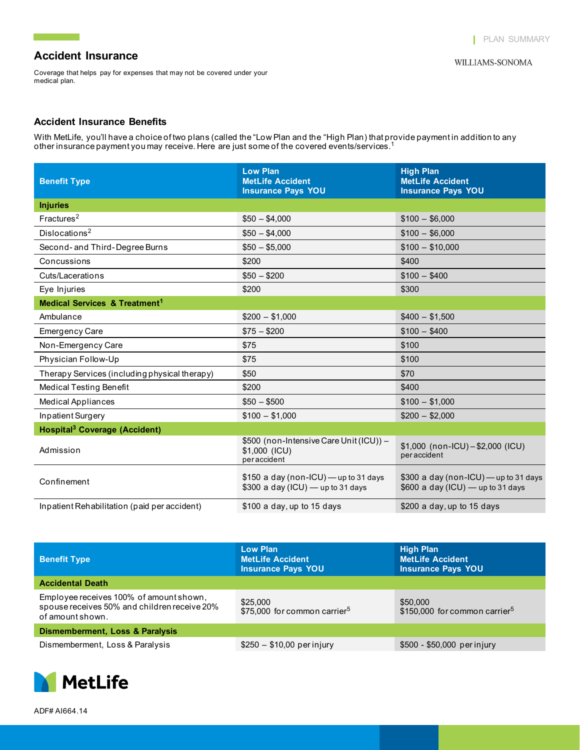## **Accident Insurance**

<u> Tanah Samud Barat </u>

Coverage that helps pay for expenses that may not be covered under your medical plan.

#### **Accident Insurance Benefits**

With MetLife, you'll have a choice of two plans (called the "Low Plan and the "High Plan) that provide payment in addition to any other insurance payment you may receive. Here are just some of the covered events/services.<sup>1</sup>

| <b>Benefit Type</b>                                 | <b>Low Plan</b><br><b>MetLife Accident</b><br><b>Insurance Pays YOU</b>     | <b>High Plan</b><br><b>MetLife Accident</b><br><b>Insurance Pays YOU</b>     |
|-----------------------------------------------------|-----------------------------------------------------------------------------|------------------------------------------------------------------------------|
| <b>Injuries</b>                                     |                                                                             |                                                                              |
| Fractures <sup>2</sup>                              | $$50 - $4,000$                                                              | $$100 - $6,000$                                                              |
| Dislocations <sup>2</sup>                           | $$50 - $4,000$                                                              | $$100 - $6,000$                                                              |
| Second- and Third-Degree Burns                      | $$50 - $5,000$                                                              | $$100 - $10,000$                                                             |
| Concussions                                         | \$200                                                                       | \$400                                                                        |
| Cuts/Lacerations                                    | $$50 - $200$                                                                | $$100 - $400$                                                                |
| Eye Injuries                                        | \$200                                                                       | \$300                                                                        |
| <b>Medical Services &amp; Treatment<sup>1</sup></b> |                                                                             |                                                                              |
| Ambulance                                           | $$200 - $1,000$                                                             | $$400 - $1,500$                                                              |
| <b>Emergency Care</b>                               | $$75 - $200$                                                                | $$100 - $400$                                                                |
| Non-Emergency Care                                  | \$75                                                                        | \$100                                                                        |
| Physician Follow-Up                                 | \$75                                                                        | \$100                                                                        |
| Therapy Services (including physical therapy)       | \$50                                                                        | \$70                                                                         |
| <b>Medical Testing Benefit</b>                      | \$200                                                                       | \$400                                                                        |
| <b>Medical Appliances</b>                           | $$50 - $500$                                                                | $$100 - $1,000$                                                              |
| Inpatient Surgery                                   | $$100 - $1,000$                                                             | $$200 - $2,000$                                                              |
| <b>Hospital<sup>3</sup></b> Coverage (Accident)     |                                                                             |                                                                              |
| Admission                                           | \$500 (non-Intensive Care Unit (ICU)) -<br>\$1,000 (ICU)<br>peraccident     | $$1,000$ (non-ICU) - \$2,000 (ICU)<br>peraccident                            |
| Confinement                                         | $$150$ a day (non-ICU) — up to 31 days<br>\$300 a day (ICU) - up to 31 days | \$300 a day (non-ICU) - up to 31 days<br>\$600 a day (ICU) $-$ up to 31 days |
| Inpatient Rehabilitation (paid per accident)        | \$100 a day, up to 15 days                                                  | \$200 a day, up to 15 days                                                   |

| <b>Benefit Type</b>                                                                                         | <b>Low Plan</b><br><b>MetLife Accident</b><br><b>Insurance Pays YOU</b> | <b>High Plan</b><br><b>MetLife Accident</b><br><b>Insurance Pays YOU</b> |  |  |
|-------------------------------------------------------------------------------------------------------------|-------------------------------------------------------------------------|--------------------------------------------------------------------------|--|--|
| <b>Accidental Death</b>                                                                                     |                                                                         |                                                                          |  |  |
| Employee receives 100% of amount shown,<br>spouse receives 50% and children receive 20%<br>of amount shown. | \$25,000<br>\$75,000 for common carrier <sup>5</sup>                    | \$50,000<br>\$150,000 for common carrier <sup>5</sup>                    |  |  |
| <b>Dismemberment, Loss &amp; Paralysis</b>                                                                  |                                                                         |                                                                          |  |  |
| Dismemberment, Loss & Paralysis                                                                             | $$250 - $10,00$ per injury                                              | \$500 - \$50,000 per injury                                              |  |  |

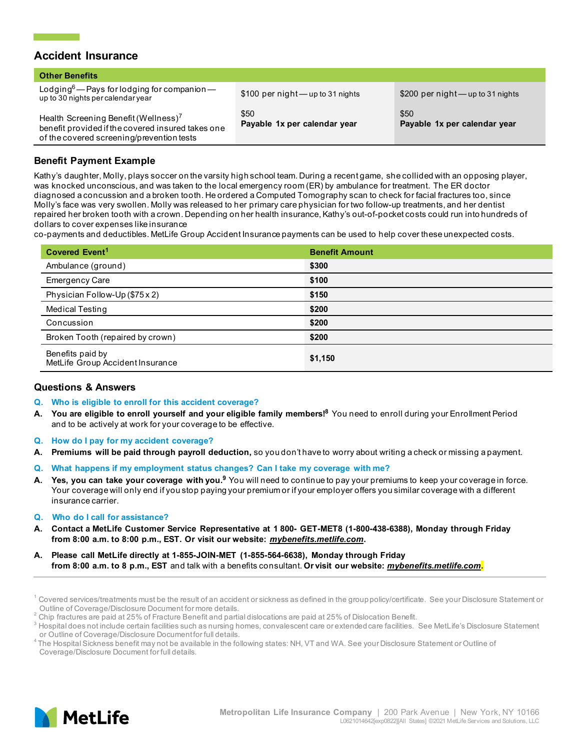### **Accident Insurance**

| <b>Other Benefits</b>                                                                                                                              |                                      |                                      |
|----------------------------------------------------------------------------------------------------------------------------------------------------|--------------------------------------|--------------------------------------|
| Lodging <sup>6</sup> — Pays for lodging for companion—<br>up to 30 nights per calendar year                                                        | \$100 per night - up to 31 nights    | \$200 per night - up to 31 nights    |
| Health Screening Benefit (Wellness) <sup>7</sup><br>benefit provided if the covered insured takes one<br>of the covered screening/prevention tests | \$50<br>Payable 1x per calendar year | \$50<br>Payable 1x per calendar year |

### **Benefit Payment Example**

Kathy's daughter, Molly, plays soccer on the varsity high school team. During a recent game, she collided with an opposing player, was knocked unconscious, and was taken to the local emergency room (ER) by ambulance for treatment. The ER doctor diagnosed a concussion and a broken tooth. He ordered a Computed Tomography scan to check for facial fractures too, since Molly's face was very swollen. Molly was released to her primary care physician for two follow-up treatments, and her dentist repaired her broken tooth with a crown. Depending on her health insurance, Kathy's out-of-pocket costs could run into hundreds of dollars to cover expenses like insurance

co-payments and deductibles. MetLife Group Accident Insurance payments can be used to help cover these unexpected costs.

| Covered Event <sup>1</sup>                           | <b>Benefit Amount</b> |
|------------------------------------------------------|-----------------------|
| Ambulance (ground)                                   | \$300                 |
| <b>Emergency Care</b>                                | \$100                 |
| Physician Follow-Up (\$75 x 2)                       | \$150                 |
| <b>Medical Testing</b>                               | \$200                 |
| Concussion                                           | \$200                 |
| Broken Tooth (repaired by crown)                     | \$200                 |
| Benefits paid by<br>MetLife Group Accident Insurance | \$1,150               |

#### **Questions & Answers**

- **Q. Who is eligible to enroll for this accident coverage?**
- **A. You are eligible to enroll yourself and your eligible family members!8** You need to enroll during your Enrollment Period and to be actively at work for your coverage to be effective.
- **Q. How do I pay for my accident coverage?**
- **A. Premiums will be paid through payroll deduction,** so you don't have to worry about writing a check or missing a payment.
- **Q. What happens if my employment status changes? Can I take my coverage with me?**
- **A. Yes, you can take your coverage with you.9** You will need to continue to pay your premiums to keep your coverage in force. Your coverage will only end if you stop paying your premium or if your employer offers you similar coverage with a different insurance carrier.
- **Q. Who do I call for assistance?**
- **A. Contact a MetLife Customer Service Representative at 1 800- GET-MET8 (1-800-438-6388), Monday through Friday from 8:00 a.m. to 8:00 p.m., EST. Or visit our website:** *mybenefits.metlife.com***.**
- **A. Please call MetLife directly at 1-855-JOIN-MET (1-855-564-6638), Monday through Friday from 8:00 a.m. to 8 p.m., EST** and talk with a benefits consultant. **Or visit our website:** *mybenefits.metlife.com***.**



<sup>&</sup>lt;sup>1</sup> Covered services/treatments must be the result of an accident or sickness as defined in the group policy/certificate. See your Disclosure Statement or<br>\_ Outline of Coverage/Disclosure Document for more details.

<sup>&</sup>lt;sup>2</sup> Chip fractures are paid at 25% of Fracture Benefit and partial dislocations are paid at 25% of Dislocation Benefit.

<sup>&</sup>lt;sup>3</sup> Hospital does not include certain facilities such as nursing homes, convalescent care or extended care facilities. See MetLife's Disclosure Statement or Outline of Coverage/Disclosure Document for full details.

<sup>&</sup>lt;sup>4</sup> The Hospital Sickness benefit may not be available in the following states: NH, VT and WA. See your Disclosure Statement or Outline of Coverage/Disclosure Document for full details.